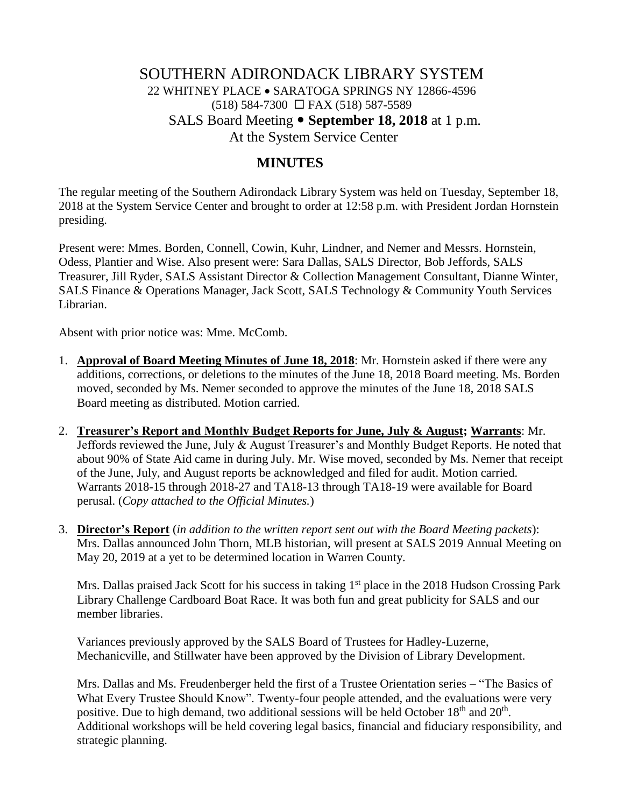# SOUTHERN ADIRONDACK LIBRARY SYSTEM 22 WHITNEY PLACE • SARATOGA SPRINGS NY 12866-4596  $(518)$  584-7300  $\Box$  FAX (518) 587-5589 SALS Board Meeting **September 18, 2018** at 1 p.m. At the System Service Center

### **MINUTES**

The regular meeting of the Southern Adirondack Library System was held on Tuesday, September 18, 2018 at the System Service Center and brought to order at 12:58 p.m. with President Jordan Hornstein presiding.

Present were: Mmes. Borden, Connell, Cowin, Kuhr, Lindner, and Nemer and Messrs. Hornstein, Odess, Plantier and Wise. Also present were: Sara Dallas, SALS Director, Bob Jeffords, SALS Treasurer, Jill Ryder, SALS Assistant Director & Collection Management Consultant, Dianne Winter, SALS Finance & Operations Manager, Jack Scott, SALS Technology & Community Youth Services Librarian.

Absent with prior notice was: Mme. McComb.

- 1. **Approval of Board Meeting Minutes of June 18, 2018**: Mr. Hornstein asked if there were any additions, corrections, or deletions to the minutes of the June 18, 2018 Board meeting. Ms. Borden moved, seconded by Ms. Nemer seconded to approve the minutes of the June 18, 2018 SALS Board meeting as distributed. Motion carried.
- 2. **Treasurer's Report and Monthly Budget Reports for June, July & August; Warrants**: Mr. Jeffords reviewed the June, July & August Treasurer's and Monthly Budget Reports. He noted that about 90% of State Aid came in during July. Mr. Wise moved, seconded by Ms. Nemer that receipt of the June, July, and August reports be acknowledged and filed for audit. Motion carried. Warrants 2018-15 through 2018-27 and TA18-13 through TA18-19 were available for Board perusal. (*Copy attached to the Official Minutes.*)
- 3. **Director's Report** (*in addition to the written report sent out with the Board Meeting packets*): Mrs. Dallas announced John Thorn, MLB historian, will present at SALS 2019 Annual Meeting on May 20, 2019 at a yet to be determined location in Warren County.

Mrs. Dallas praised Jack Scott for his success in taking 1<sup>st</sup> place in the 2018 Hudson Crossing Park Library Challenge Cardboard Boat Race. It was both fun and great publicity for SALS and our member libraries.

Variances previously approved by the SALS Board of Trustees for Hadley-Luzerne, Mechanicville, and Stillwater have been approved by the Division of Library Development.

Mrs. Dallas and Ms. Freudenberger held the first of a Trustee Orientation series – "The Basics of What Every Trustee Should Know". Twenty-four people attended, and the evaluations were very positive. Due to high demand, two additional sessions will be held October 18<sup>th</sup> and 20<sup>th</sup>. Additional workshops will be held covering legal basics, financial and fiduciary responsibility, and strategic planning.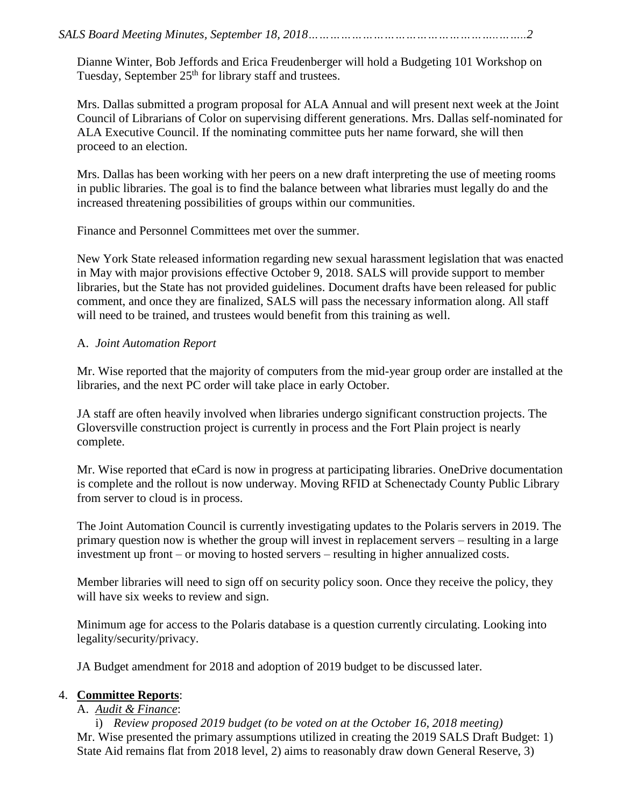Dianne Winter, Bob Jeffords and Erica Freudenberger will hold a Budgeting 101 Workshop on Tuesday, September  $25<sup>th</sup>$  for library staff and trustees.

Mrs. Dallas submitted a program proposal for ALA Annual and will present next week at the Joint Council of Librarians of Color on supervising different generations. Mrs. Dallas self-nominated for ALA Executive Council. If the nominating committee puts her name forward, she will then proceed to an election.

Mrs. Dallas has been working with her peers on a new draft interpreting the use of meeting rooms in public libraries. The goal is to find the balance between what libraries must legally do and the increased threatening possibilities of groups within our communities.

Finance and Personnel Committees met over the summer.

New York State released information regarding new sexual harassment legislation that was enacted in May with major provisions effective October 9, 2018. SALS will provide support to member libraries, but the State has not provided guidelines. Document drafts have been released for public comment, and once they are finalized, SALS will pass the necessary information along. All staff will need to be trained, and trustees would benefit from this training as well.

#### A. *Joint Automation Report*

Mr. Wise reported that the majority of computers from the mid-year group order are installed at the libraries, and the next PC order will take place in early October.

JA staff are often heavily involved when libraries undergo significant construction projects. The Gloversville construction project is currently in process and the Fort Plain project is nearly complete.

Mr. Wise reported that eCard is now in progress at participating libraries. OneDrive documentation is complete and the rollout is now underway. Moving RFID at Schenectady County Public Library from server to cloud is in process.

The Joint Automation Council is currently investigating updates to the Polaris servers in 2019. The primary question now is whether the group will invest in replacement servers – resulting in a large investment up front – or moving to hosted servers – resulting in higher annualized costs.

Member libraries will need to sign off on security policy soon. Once they receive the policy, they will have six weeks to review and sign.

Minimum age for access to the Polaris database is a question currently circulating. Looking into legality/security/privacy.

JA Budget amendment for 2018 and adoption of 2019 budget to be discussed later.

#### 4. **Committee Reports**:

#### A. *Audit & Finance*:

i) *Review proposed 2019 budget (to be voted on at the October 16, 2018 meeting)* Mr. Wise presented the primary assumptions utilized in creating the 2019 SALS Draft Budget: 1) State Aid remains flat from 2018 level, 2) aims to reasonably draw down General Reserve, 3)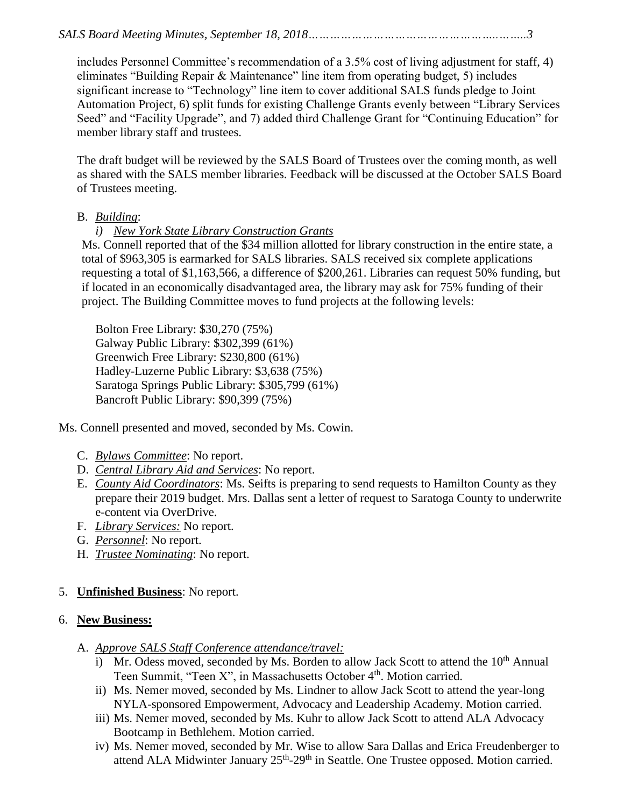*SALS Board Meeting Minutes, September 18, 2018……………………………………………..……..3*

includes Personnel Committee's recommendation of a 3.5% cost of living adjustment for staff, 4) eliminates "Building Repair & Maintenance" line item from operating budget, 5) includes significant increase to "Technology" line item to cover additional SALS funds pledge to Joint Automation Project, 6) split funds for existing Challenge Grants evenly between "Library Services Seed" and "Facility Upgrade", and 7) added third Challenge Grant for "Continuing Education" for member library staff and trustees.

The draft budget will be reviewed by the SALS Board of Trustees over the coming month, as well as shared with the SALS member libraries. Feedback will be discussed at the October SALS Board of Trustees meeting.

#### B. *Building*:

## *i) New York State Library Construction Grants*

Ms. Connell reported that of the \$34 million allotted for library construction in the entire state, a total of \$963,305 is earmarked for SALS libraries. SALS received six complete applications requesting a total of \$1,163,566, a difference of \$200,261. Libraries can request 50% funding, but if located in an economically disadvantaged area, the library may ask for 75% funding of their project. The Building Committee moves to fund projects at the following levels:

Bolton Free Library: \$30,270 (75%) Galway Public Library: \$302,399 (61%) Greenwich Free Library: \$230,800 (61%) Hadley-Luzerne Public Library: \$3,638 (75%) Saratoga Springs Public Library: \$305,799 (61%) Bancroft Public Library: \$90,399 (75%)

Ms. Connell presented and moved, seconded by Ms. Cowin.

- C. *Bylaws Committee*: No report.
- D. *Central Library Aid and Services*: No report.
- E. *County Aid Coordinators*: Ms. Seifts is preparing to send requests to Hamilton County as they prepare their 2019 budget. Mrs. Dallas sent a letter of request to Saratoga County to underwrite e-content via OverDrive.
- F. *Library Services:* No report.
- G. *Personnel*: No report.
- H. *Trustee Nominating*: No report.

## 5. **Unfinished Business**: No report.

#### 6. **New Business:**

- A. *Approve SALS Staff Conference attendance/travel:*
	- i) Mr. Odess moved, seconded by Ms. Borden to allow Jack Scott to attend the  $10<sup>th</sup>$  Annual Teen Summit, "Teen X", in Massachusetts October 4<sup>th</sup>. Motion carried.
	- ii) Ms. Nemer moved, seconded by Ms. Lindner to allow Jack Scott to attend the year-long NYLA-sponsored Empowerment, Advocacy and Leadership Academy. Motion carried.
	- iii) Ms. Nemer moved, seconded by Ms. Kuhr to allow Jack Scott to attend ALA Advocacy Bootcamp in Bethlehem. Motion carried.
	- iv) Ms. Nemer moved, seconded by Mr. Wise to allow Sara Dallas and Erica Freudenberger to attend ALA Midwinter January  $25<sup>th</sup> - 29<sup>th</sup>$  in Seattle. One Trustee opposed. Motion carried.